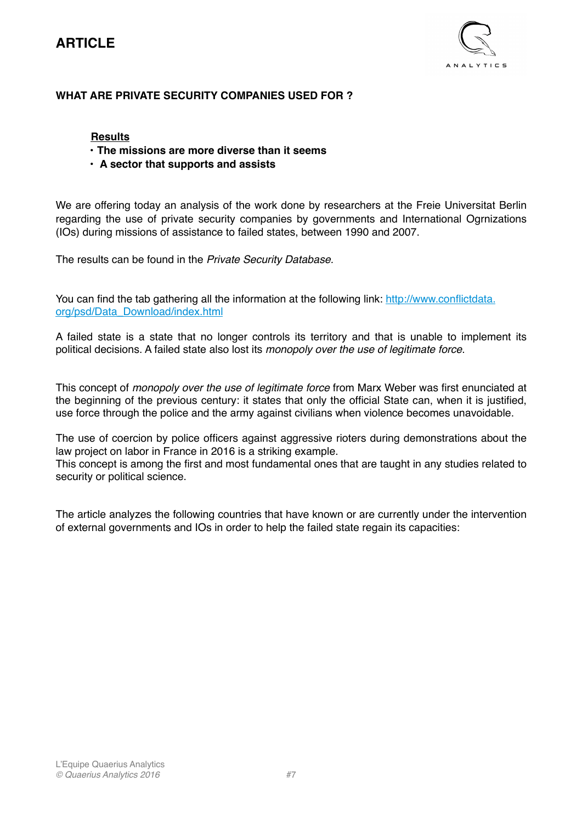

### **WHAT ARE PRIVATE SECURITY COMPANIES USED FOR ?**

### **Results**

- **The missions are more diverse than it seems**
- • **A sector that supports and assists**

We are offering today an analysis of the work done by researchers at the Freie Universitat Berlin regarding the use of private security companies by governments and International Ogrnizations (IOs) during missions of assistance to failed states, between 1990 and 2007.

The results can be found in the *Private Security Database.*

You can find the tab gathering all the information at the following link: http://www.conflictdata. org/psd/Data\_Download/index.html

A failed state is a state that no longer controls its territory and that is unable to implement its political decisions. A failed state also lost its *monopoly over the use of legitimate force*.

This concept of *monopoly over the use of legitimate force* from Marx Weber was first enunciated at the beginning of the previous century: it states that only the official State can, when it is justified, use force through the police and the army against civilians when violence becomes unavoidable.

The use of coercion by police officers against aggressive rioters during demonstrations about the law project on labor in France in 2016 is a striking example.

This concept is among the first and most fundamental ones that are taught in any studies related to security or political science.

The article analyzes the following countries that have known or are currently under the intervention of external governments and IOs in order to help the failed state regain its capacities: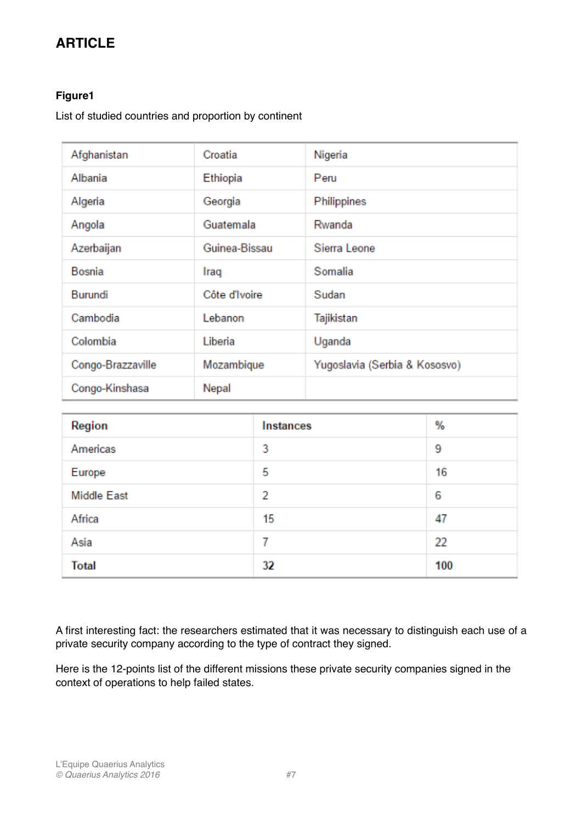### **Figure1**

List of studied countries and proportion by continent

| Afghanistan       | Croatia       | Nigeria                       |
|-------------------|---------------|-------------------------------|
| Albania           | Ethiopia      | Peru                          |
| Algeria           | Georgia       | Philippines                   |
| Angola            | Guatemala     | Rwanda                        |
| Azerbaijan        | Guinea-Bissau | Sierra Leone                  |
| Bosnia            | Iraq          | Somalia                       |
| Burundi           | Côte d'Ivoire | Sudan                         |
| Cambodia          | Lebanon       | Tajikistan                    |
| Colombia          | Liberia       | Uganda                        |
| Congo-Brazzaville | Mozambique    | Yugoslavia (Serbia & Kososvo) |
| Congo-Kinshasa    | Nepal         |                               |

| Region             | Instances | %   |
|--------------------|-----------|-----|
| Americas           | 3         | 9   |
| Europe             | 5         | 16  |
| <b>Middle East</b> | 2         | 6   |
| Africa             | 15        | 47  |
| Asia               |           | 22  |
| <b>Total</b>       | 32        | 100 |

A first interesting fact: the researchers estimated that it was necessary to distinguish each use of a private security company according to the type of contract they signed.

Here is the 12-points list of the different missions these private security companies signed in the context of operations to help failed states.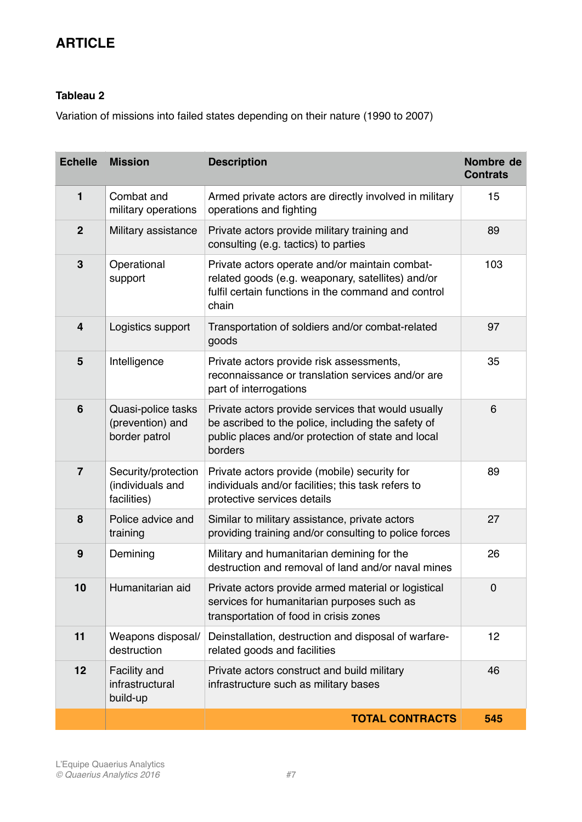## **Tableau 2**

Variation of missions into failed states depending on their nature (1990 to 2007)

| <b>Echelle</b>          | <b>Mission</b>                                          | <b>Description</b>                                                                                                                                                        | Nombre de<br><b>Contrats</b> |
|-------------------------|---------------------------------------------------------|---------------------------------------------------------------------------------------------------------------------------------------------------------------------------|------------------------------|
| $\mathbf{1}$            | Combat and<br>military operations                       | Armed private actors are directly involved in military<br>operations and fighting                                                                                         | 15                           |
| $\mathbf{2}$            | Military assistance                                     | Private actors provide military training and<br>consulting (e.g. tactics) to parties                                                                                      | 89                           |
| $\mathbf{3}$            | Operational<br>support                                  | Private actors operate and/or maintain combat-<br>related goods (e.g. weaponary, satellites) and/or<br>fulfil certain functions in the command and control<br>chain       | 103                          |
| $\overline{\mathbf{4}}$ | Logistics support                                       | Transportation of soldiers and/or combat-related<br>goods                                                                                                                 | 97                           |
| 5                       | Intelligence                                            | Private actors provide risk assessments,<br>reconnaissance or translation services and/or are<br>part of interrogations                                                   | 35                           |
| 6                       | Quasi-police tasks<br>(prevention) and<br>border patrol | Private actors provide services that would usually<br>be ascribed to the police, including the safety of<br>public places and/or protection of state and local<br>borders | 6                            |
| $\overline{7}$          | Security/protection<br>(individuals and<br>facilities)  | Private actors provide (mobile) security for<br>individuals and/or facilities; this task refers to<br>protective services details                                         | 89                           |
| 8                       | Police advice and<br>training                           | Similar to military assistance, private actors<br>providing training and/or consulting to police forces                                                                   | 27                           |
| 9                       | Demining                                                | Military and humanitarian demining for the<br>destruction and removal of land and/or naval mines                                                                          | 26                           |
| 10                      | Humanitarian aid                                        | Private actors provide armed material or logistical<br>services for humanitarian purposes such as<br>transportation of food in crisis zones                               | $\Omega$                     |
| 11                      | Weapons disposal/<br>destruction                        | Deinstallation, destruction and disposal of warfare-<br>related goods and facilities                                                                                      | 12                           |
| 12                      | Facility and<br>infrastructural<br>build-up             | Private actors construct and build military<br>infrastructure such as military bases                                                                                      | 46                           |
|                         |                                                         | <b>TOTAL CONTRACTS</b>                                                                                                                                                    | 545                          |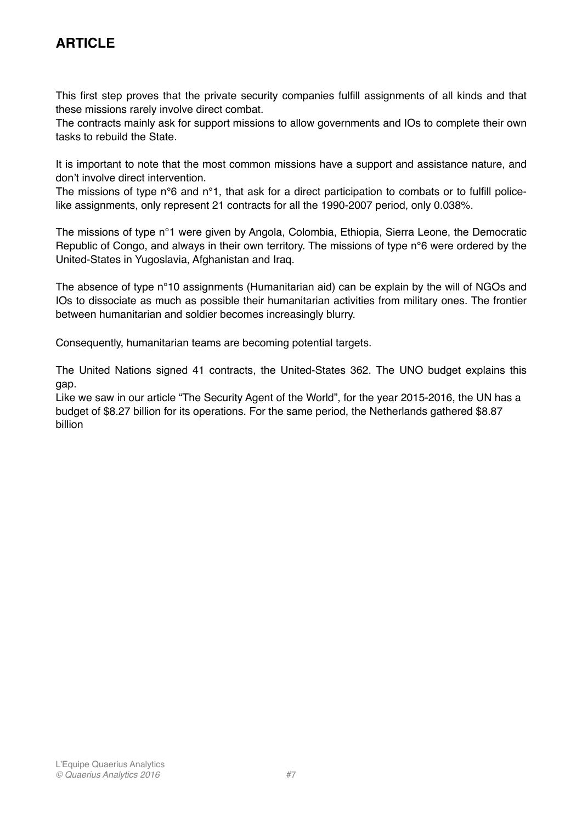This first step proves that the private security companies fulfill assignments of all kinds and that these missions rarely involve direct combat.

The contracts mainly ask for support missions to allow governments and IOs to complete their own tasks to rebuild the State.

It is important to note that the most common missions have a support and assistance nature, and don't involve direct intervention.

The missions of type n°6 and n°1, that ask for a direct participation to combats or to fulfill policelike assignments, only represent 21 contracts for all the 1990-2007 period, only 0.038%.

The missions of type n°1 were given by Angola, Colombia, Ethiopia, Sierra Leone, the Democratic Republic of Congo, and always in their own territory. The missions of type n°6 were ordered by the United-States in Yugoslavia, Afghanistan and Iraq.

The absence of type n°10 assignments (Humanitarian aid) can be explain by the will of NGOs and IOs to dissociate as much as possible their humanitarian activities from military ones. The frontier between humanitarian and soldier becomes increasingly blurry.

Consequently, humanitarian teams are becoming potential targets.

The United Nations signed 41 contracts, the United-States 362. The UNO budget explains this gap.

Like we saw in our article "The Security Agent of the World", for the year 2015-2016, the UN has a budget of \$8.27 billion for its operations. For the same period, the Netherlands gathered \$8.87 billion